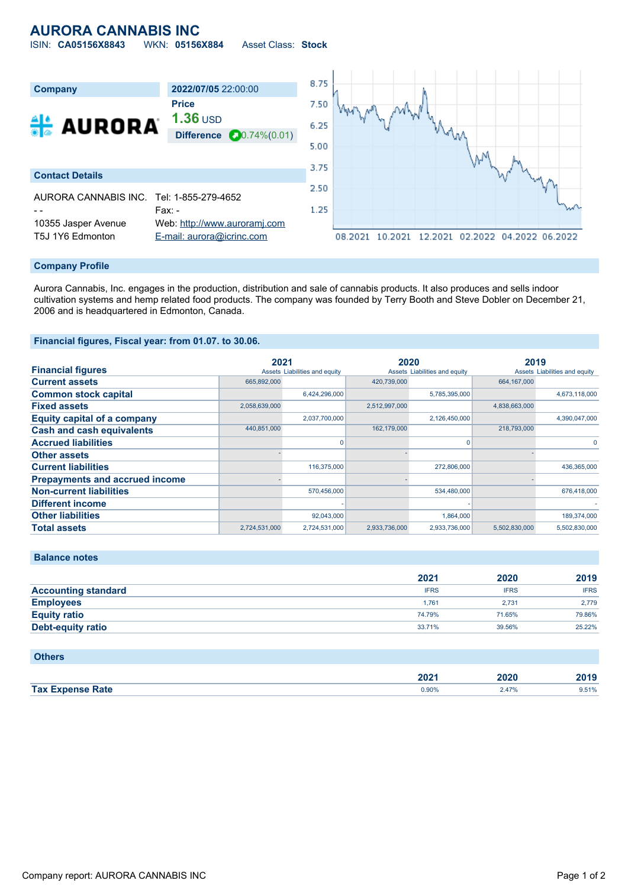## **AURORA CANNABIS INC**

ISIN: **CA05156X8843** WKN: **05156X884** Asset Class: **Stock**



### **Company Profile**

Aurora Cannabis, Inc. engages in the production, distribution and sale of cannabis products. It also produces and sells indoor cultivation systems and hemp related food products. The company was founded by Terry Booth and Steve Dobler on December 21, 2006 and is headquartered in Edmonton, Canada.

### **Financial figures, Fiscal year: from 01.07. to 30.06.**

|                                       | 2021          |                               | 2020          |                               | 2019          |                               |
|---------------------------------------|---------------|-------------------------------|---------------|-------------------------------|---------------|-------------------------------|
| <b>Financial figures</b>              |               | Assets Liabilities and equity |               | Assets Liabilities and equity |               | Assets Liabilities and equity |
| <b>Current assets</b>                 | 665,892,000   |                               | 420,739,000   |                               | 664,167,000   |                               |
| <b>Common stock capital</b>           |               | 6,424,296,000                 |               | 5,785,395,000                 |               | 4,673,118,000                 |
| <b>Fixed assets</b>                   | 2,058,639,000 |                               | 2,512,997,000 |                               | 4,838,663,000 |                               |
| <b>Equity capital of a company</b>    |               | 2,037,700,000                 |               | 2,126,450,000                 |               | 4,390,047,000                 |
| <b>Cash and cash equivalents</b>      | 440,851,000   |                               | 162,179,000   |                               | 218,793,000   |                               |
| <b>Accrued liabilities</b>            |               |                               |               | O.                            |               | $\Omega$                      |
| <b>Other assets</b>                   |               |                               |               |                               |               |                               |
| <b>Current liabilities</b>            |               | 116,375,000                   |               | 272,806,000                   |               | 436,365,000                   |
| <b>Prepayments and accrued income</b> |               |                               |               |                               |               |                               |
| <b>Non-current liabilities</b>        |               | 570.456.000                   |               | 534,480,000                   |               | 676.418.000                   |
| <b>Different income</b>               |               |                               |               |                               |               |                               |
| <b>Other liabilities</b>              |               | 92,043,000                    |               | 1,864,000                     |               | 189,374,000                   |
| <b>Total assets</b>                   | 2,724,531,000 | 2,724,531,000                 | 2,933,736,000 | 2,933,736,000                 | 5,502,830,000 | 5,502,830,000                 |

### **Balance notes**

|                            | 2021        | 2020        | 2019        |
|----------------------------|-------------|-------------|-------------|
| <b>Accounting standard</b> | <b>IFRS</b> | <b>IFRS</b> | <b>IFRS</b> |
| <b>Employees</b>           | 1.761       | 2.731       | 2.779       |
| <b>Equity ratio</b>        | 74.79%      | 71.65%      | 79.86%      |
| <b>Debt-equity ratio</b>   | 33.71%      | 39.56%      | 25.22%      |

| <b>Others</b>           |       |       |       |
|-------------------------|-------|-------|-------|
|                         | 2021  | 2020  | 2019  |
| <b>Tax Expense Rate</b> | 0.90% | 2.47% | 9.51% |